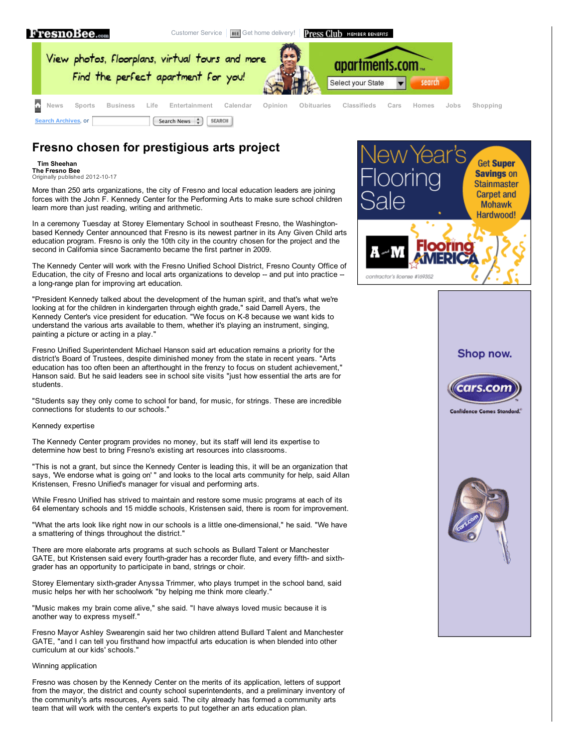

[Customer](http://live.fresnobee.com/customer_service/) Service | **BEE** Get home [delivery!](https://ecom.fresnobee.com/circsales) | **Press Club** MEMBER BENEFITS



# **Fresno chosen for prestigious arts project**

### **Tim Sheehan**

**The Fresno Bee Common Corporation**<br>Originally published 2012-10-17

More than 250 arts organizations, the city of Fresno and local education leaders are joining forces with the John F. Kennedy Center for the Performing Arts to make sure school children learn more than just reading, writing and arithmetic.

In a ceremony Tuesday at Storey Elementary School in southeast Fresno, the Washingtonbased Kennedy Center announced that Fresno is its newest partner in its Any Given Child arts education program. Fresno is only the 10th city in the country chosen for the project and the second in California since Sacramento became the first partner in 2009.

The Kennedy Center will work with the Fresno Unified School District, Fresno County Office of Education, the city of Fresno and local arts organizations to develop -- and put into practice -a long-range plan for improving art education.

"President Kennedy talked about the development of the human spirit, and that's what we're looking at for the children in kindergarten through eighth grade," said Darrell Ayers, the Kennedy Center's vice president for education. "We focus on K-8 because we want kids to understand the various arts available to them, whether it's playing an instrument, singing, painting a picture or acting in a play."

Fresno Unified Superintendent Michael Hanson said art education remains a priority for the district's Board of Trustees, despite diminished money from the state in recent years. "Arts education has too often been an afterthought in the frenzy to focus on student achievement," Hanson said. But he said leaders see in school site visits "just how essential the arts are for students.

"Students say they only come to school for band, for music, for strings. These are incredible connections for students to our schools."

### Kennedy expertise

The Kennedy Center program provides no money, but its staff will lend its expertise to determine how best to bring Fresno's existing art resources into classrooms.

"This is not a grant, but since the Kennedy Center is leading this, it will be an organization that says, 'We endorse what is going on' " and looks to the local arts community for help, said Allan Kristensen, Fresno Unified's manager for visual and performing arts.

While Fresno Unified has strived to maintain and restore some music programs at each of its 64 elementary schools and 15 middle schools, Kristensen said, there is room for improvement.

"What the arts look like right now in our schools is a little one-dimensional," he said. "We have a smattering of things throughout the district."

There are more elaborate arts programs at such schools as Bullard Talent or Manchester GATE, but Kristensen said every fourth-grader has a recorder flute, and every fifth- and sixthgrader has an opportunity to participate in band, strings or choir.

Storey Elementary sixth-grader Anyssa Trimmer, who plays trumpet in the school band, said music helps her with her schoolwork "by helping me think more clearly."

"Music makes my brain come alive," she said. "I have always loved music because it is another way to express myself."

Fresno Mayor Ashley Swearengin said her two children attend Bullard Talent and Manchester GATE, "and I can tell you firsthand how impactful arts education is when blended into other curriculum at our kids' schools."

### Winning application

Fresno was chosen by the Kennedy Center on the merits of its application, letters of support from the mayor, the district and county school superintendents, and a preliminary inventory of the community's arts resources, Ayers said. The city already has formed a community arts team that will work with the center's experts to put together an arts education plan.



## Shop now.